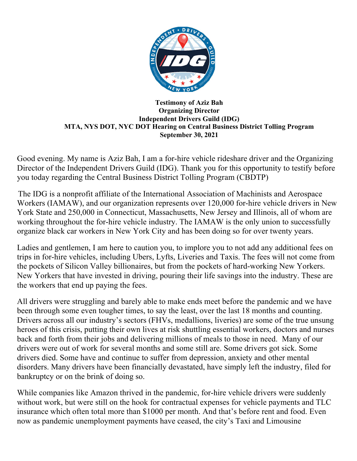

## **Testimony of Aziz Bah Organizing Director Independent Drivers Guild (IDG) MTA, NYS DOT, NYC DOT Hearing on Central Business District Tolling Program September 30, 2021**

Good evening. My name is Aziz Bah, I am a for-hire vehicle rideshare driver and the Organizing Director of the Independent Drivers Guild (IDG). Thank you for this opportunity to testify before you today regarding the Central Business District Tolling Program (CBDTP)

The IDG is a nonprofit affiliate of the International Association of Machinists and Aerospace Workers (IAMAW), and our organization represents over 120,000 for-hire vehicle drivers in New York State and 250,000 in Connecticut, Massachusetts, New Jersey and Illinois, all of whom are working throughout the for-hire vehicle industry. The IAMAW is the only union to successfully organize black car workers in New York City and has been doing so for over twenty years.

Ladies and gentlemen, I am here to caution you, to implore you to not add any additional fees on trips in for-hire vehicles, including Ubers, Lyfts, Liveries and Taxis. The fees will not come from the pockets of Silicon Valley billionaires, but from the pockets of hard-working New Yorkers. New Yorkers that have invested in driving, pouring their life savings into the industry. These are the workers that end up paying the fees.

All drivers were struggling and barely able to make ends meet before the pandemic and we have been through some even tougher times, to say the least, over the last 18 months and counting. Drivers across all our industry's sectors (FHVs, medallions, liveries) are some of the true unsung heroes of this crisis, putting their own lives at risk shuttling essential workers, doctors and nurses back and forth from their jobs and delivering millions of meals to those in need. Many of our drivers were out of work for several months and some still are. Some drivers got sick. Some drivers died. Some have and continue to suffer from depression, anxiety and other mental disorders. Many drivers have been financially devastated, have simply left the industry, filed for bankruptcy or on the brink of doing so.

While companies like Amazon thrived in the pandemic, for-hire vehicle drivers were suddenly without work, but were still on the hook for contractual expenses for vehicle payments and TLC insurance which often total more than \$1000 per month. And that's before rent and food. Even now as pandemic unemployment payments have ceased, the city's Taxi and Limousine